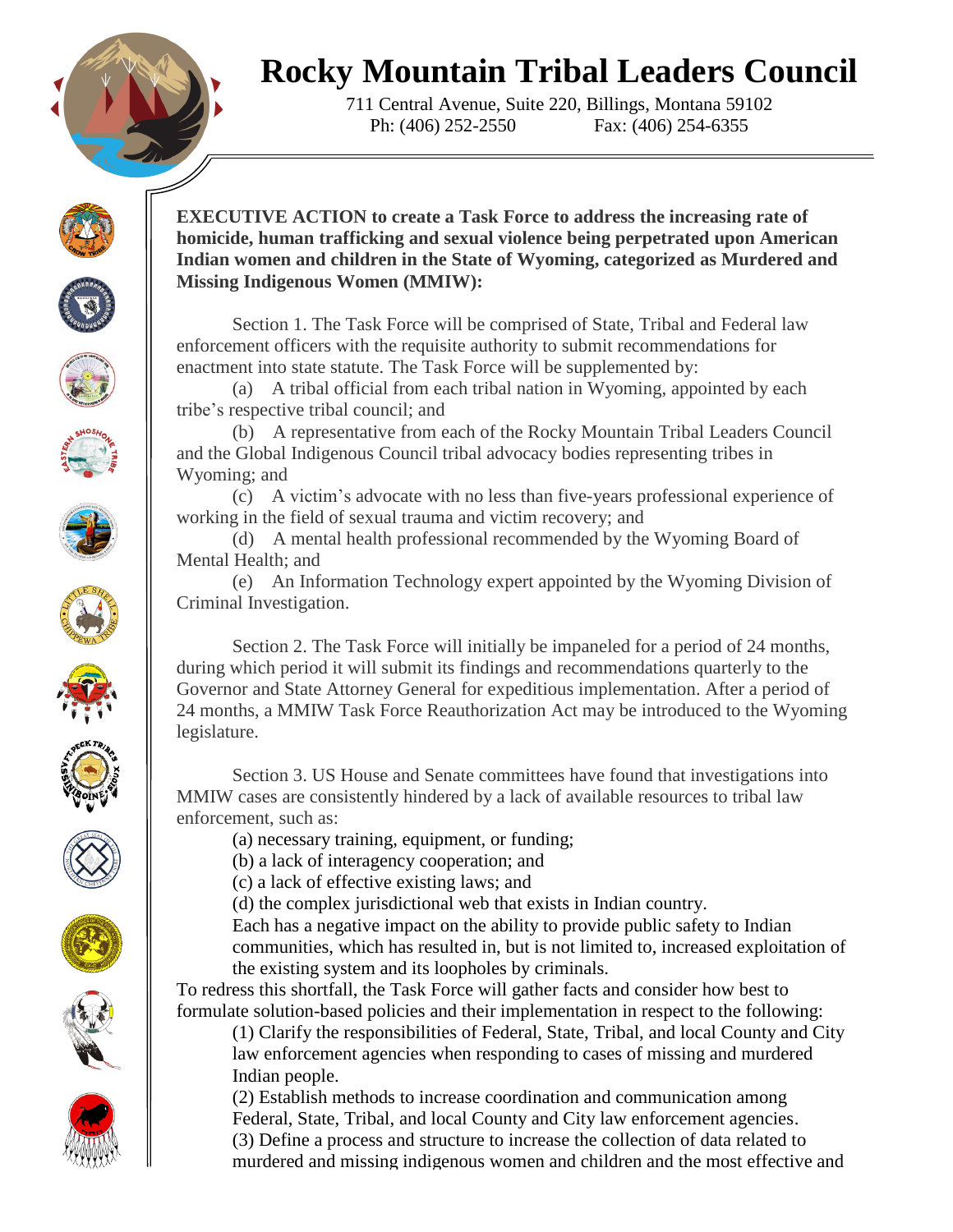## **Rocky Mountain Tribal Leaders Council**

711 Central Avenue, Suite 220, Billings, Montana 59102 Ph: (406) 252-2550 Fax: (406) 254-6355

























**EXECUTIVE ACTION to create a Task Force to address the increasing rate of homicide, human trafficking and sexual violence being perpetrated upon American Indian women and children in the State of Wyoming, categorized as Murdered and Missing Indigenous Women (MMIW):**

Section 1. The Task Force will be comprised of State, Tribal and Federal law enforcement officers with the requisite authority to submit recommendations for enactment into state statute. The Task Force will be supplemented by:

(a) A tribal official from each tribal nation in Wyoming, appointed by each tribe's respective tribal council; and

(b) A representative from each of the Rocky Mountain Tribal Leaders Council and the Global Indigenous Council tribal advocacy bodies representing tribes in Wyoming; and

(c) A victim's advocate with no less than five-years professional experience of working in the field of sexual trauma and victim recovery; and

(d) A mental health professional recommended by the Wyoming Board of Mental Health; and

(e) An Information Technology expert appointed by the Wyoming Division of Criminal Investigation.

Section 2. The Task Force will initially be impaneled for a period of 24 months, during which period it will submit its findings and recommendations quarterly to the Governor and State Attorney General for expeditious implementation. After a period of 24 months, a MMIW Task Force Reauthorization Act may be introduced to the Wyoming legislature.

Section 3. US House and Senate committees have found that investigations into MMIW cases are consistently hindered by a lack of available resources to tribal law enforcement, such as:

(a) necessary training, equipment, or funding;

(b) a lack of interagency cooperation; and

(c) a lack of effective existing laws; and

(d) the complex jurisdictional web that exists in Indian country.

Each has a negative impact on the ability to provide public safety to Indian communities, which has resulted in, but is not limited to, increased exploitation of the existing system and its loopholes by criminals.

To redress this shortfall, the Task Force will gather facts and consider how best to formulate solution-based policies and their implementation in respect to the following:

(1) Clarify the responsibilities of Federal, State, Tribal, and local County and City law enforcement agencies when responding to cases of missing and murdered Indian people.

(2) Establish methods to increase coordination and communication among Federal, State, Tribal, and local County and City law enforcement agencies. (3) Define a process and structure to increase the collection of data related to murdered and missing indigenous women and children and the most effective and